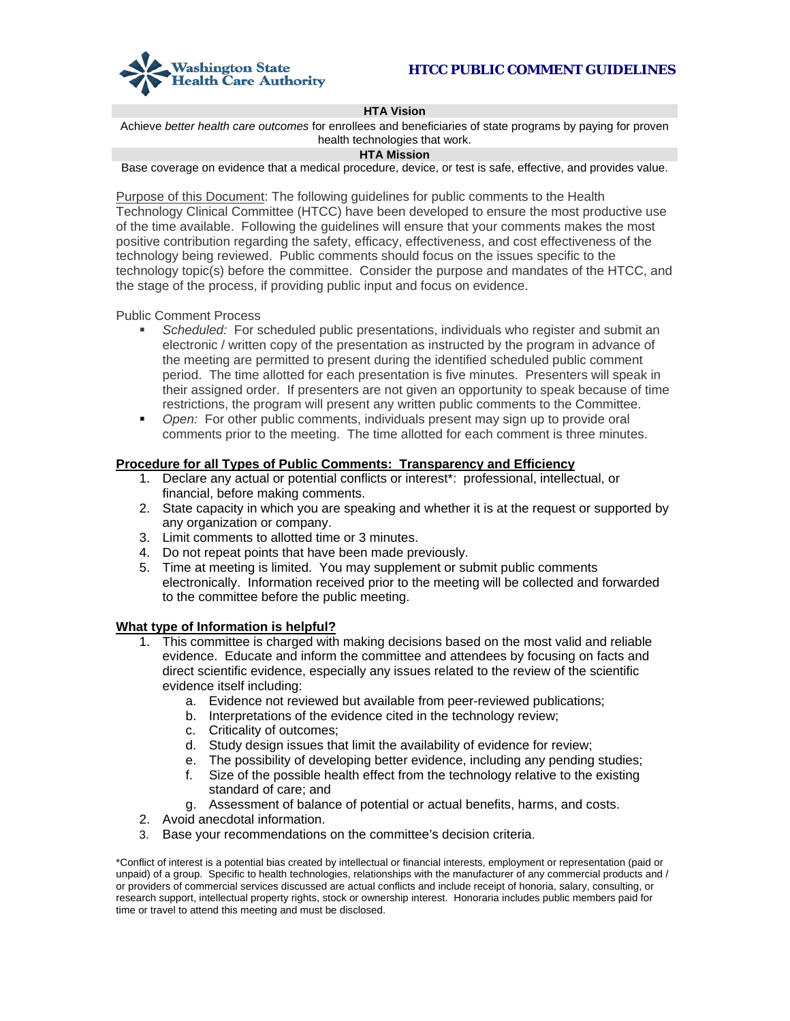

#### **HTA Vision**

Achieve *better health care outcomes* for enrollees and beneficiaries of state programs by paying for proven health technologies that work.

#### **HTA Mission**

Base coverage on evidence that a medical procedure, device, or test is safe, effective, and provides value.

Purpose of this Document: The following guidelines for public comments to the Health Technology Clinical Committee (HTCC) have been developed to ensure the most productive use of the time available. Following the guidelines will ensure that your comments makes the most positive contribution regarding the safety, efficacy, effectiveness, and cost effectiveness of the technology being reviewed. Public comments should focus on the issues specific to the technology topic(s) before the committee. Consider the purpose and mandates of the HTCC, and the stage of the process, if providing public input and focus on evidence.

Public Comment Process

- *Scheduled:* For scheduled public presentations, individuals who register and submit an electronic / written copy of the presentation as instructed by the program in advance of the meeting are permitted to present during the identified scheduled public comment period. The time allotted for each presentation is five minutes. Presenters will speak in their assigned order. If presenters are not given an opportunity to speak because of time restrictions, the program will present any written public comments to the Committee.
- *Open:* For other public comments, individuals present may sign up to provide oral comments prior to the meeting. The time allotted for each comment is three minutes.

#### **Procedure for all Types of Public Comments: Transparency and Efficiency**

- 1. Declare any actual or potential conflicts or interest\*: professional, intellectual, or financial, before making comments.
- 2. State capacity in which you are speaking and whether it is at the request or supported by any organization or company.
- 3. Limit comments to allotted time or 3 minutes.
- 4. Do not repeat points that have been made previously.
- 5. Time at meeting is limited. You may supplement or submit public comments electronically. Information received prior to the meeting will be collected and forwarded to the committee before the public meeting.

#### **What type of Information is helpful?**

- 1. This committee is charged with making decisions based on the most valid and reliable evidence. Educate and inform the committee and attendees by focusing on facts and direct scientific evidence, especially any issues related to the review of the scientific evidence itself including:
	- a. Evidence not reviewed but available from peer-reviewed publications;
	- b. Interpretations of the evidence cited in the technology review;
	- c. Criticality of outcomes;
	- d. Study design issues that limit the availability of evidence for review;
	- e. The possibility of developing better evidence, including any pending studies;
	- f. Size of the possible health effect from the technology relative to the existing standard of care; and
	- g. Assessment of balance of potential or actual benefits, harms, and costs.
- 2. Avoid anecdotal information.
- 3. Base your recommendations on the committee's decision criteria.

\*Conflict of interest is a potential bias created by intellectual or financial interests, employment or representation (paid or unpaid) of a group. Specific to health technologies, relationships with the manufacturer of any commercial products and / or providers of commercial services discussed are actual conflicts and include receipt of honoria, salary, consulting, or research support, intellectual property rights, stock or ownership interest. Honoraria includes public members paid for time or travel to attend this meeting and must be disclosed.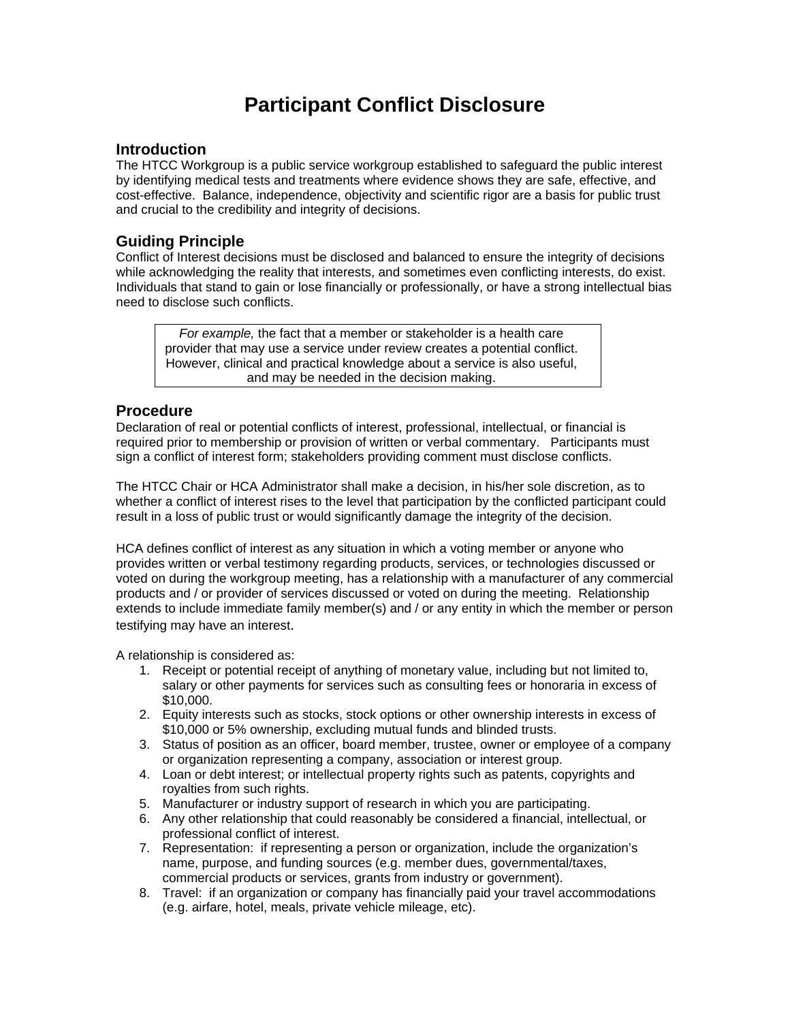# **Participant Conflict Disclosure**

### **Introduction**

The HTCC Workgroup is a public service workgroup established to safeguard the public interest by identifying medical tests and treatments where evidence shows they are safe, effective, and cost-effective. Balance, independence, objectivity and scientific rigor are a basis for public trust and crucial to the credibility and integrity of decisions.

## **Guiding Principle**

Conflict of Interest decisions must be disclosed and balanced to ensure the integrity of decisions while acknowledging the reality that interests, and sometimes even conflicting interests, do exist. Individuals that stand to gain or lose financially or professionally, or have a strong intellectual bias need to disclose such conflicts.

*For example,* the fact that a member or stakeholder is a health care provider that may use a service under review creates a potential conflict. However, clinical and practical knowledge about a service is also useful, and may be needed in the decision making.

### **Procedure**

Declaration of real or potential conflicts of interest, professional, intellectual, or financial is required prior to membership or provision of written or verbal commentary. Participants must sign a conflict of interest form; stakeholders providing comment must disclose conflicts.

The HTCC Chair or HCA Administrator shall make a decision, in his/her sole discretion, as to whether a conflict of interest rises to the level that participation by the conflicted participant could result in a loss of public trust or would significantly damage the integrity of the decision.

HCA defines conflict of interest as any situation in which a voting member or anyone who provides written or verbal testimony regarding products, services, or technologies discussed or voted on during the workgroup meeting, has a relationship with a manufacturer of any commercial products and / or provider of services discussed or voted on during the meeting. Relationship extends to include immediate family member(s) and / or any entity in which the member or person testifying may have an interest.

A relationship is considered as:

- 1. Receipt or potential receipt of anything of monetary value, including but not limited to, salary or other payments for services such as consulting fees or honoraria in excess of \$10,000.
- 2. Equity interests such as stocks, stock options or other ownership interests in excess of \$10,000 or 5% ownership, excluding mutual funds and blinded trusts.
- 3. Status of position as an officer, board member, trustee, owner or employee of a company or organization representing a company, association or interest group.
- 4. Loan or debt interest; or intellectual property rights such as patents, copyrights and royalties from such rights.
- 5. Manufacturer or industry support of research in which you are participating.
- 6. Any other relationship that could reasonably be considered a financial, intellectual, or professional conflict of interest.
- 7. Representation: if representing a person or organization, include the organization's name, purpose, and funding sources (e.g. member dues, governmental/taxes, commercial products or services, grants from industry or government).
- 8. Travel: if an organization or company has financially paid your travel accommodations (e.g. airfare, hotel, meals, private vehicle mileage, etc).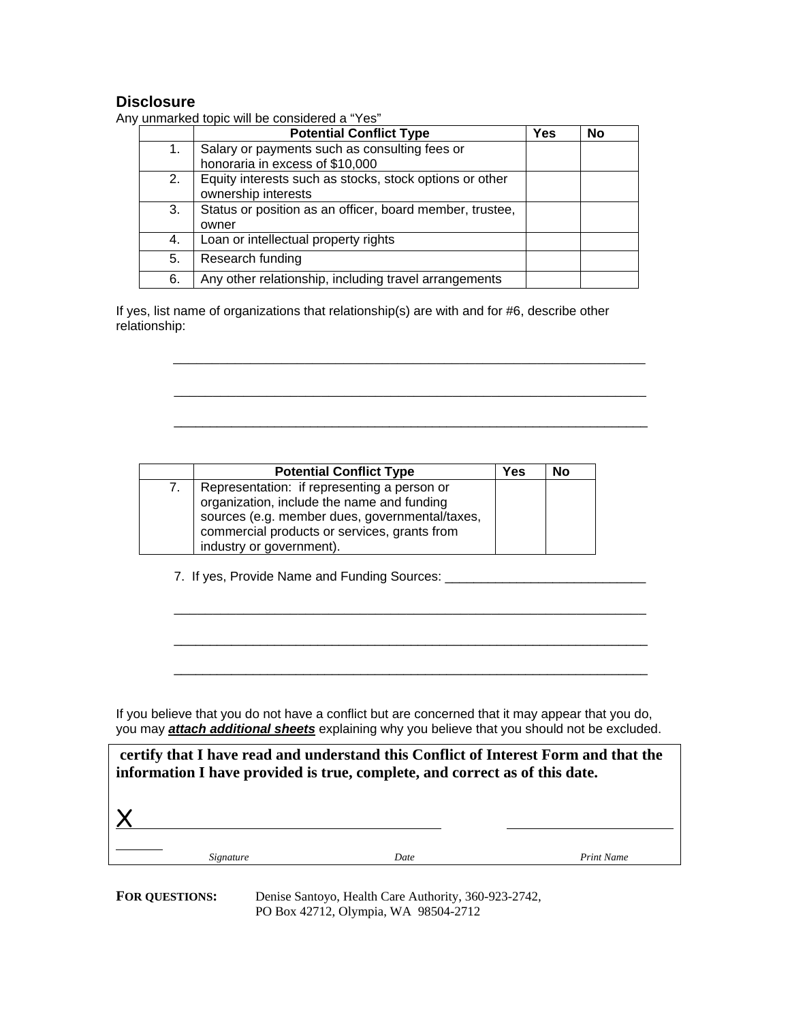## **Disclosure**

|    | <b>Potential Conflict Type</b>                           | <b>Yes</b> | No |
|----|----------------------------------------------------------|------------|----|
| 1. | Salary or payments such as consulting fees or            |            |    |
|    | honoraria in excess of \$10,000                          |            |    |
| 2. | Equity interests such as stocks, stock options or other  |            |    |
|    | ownership interests                                      |            |    |
| 3. | Status or position as an officer, board member, trustee, |            |    |
|    | owner                                                    |            |    |
| 4. | Loan or intellectual property rights                     |            |    |
| 5. | Research funding                                         |            |    |
| 6. | Any other relationship, including travel arrangements    |            |    |

Any unmarked topic will be considered a "Yes"

If yes, list name of organizations that relationship(s) are with and for #6, describe other relationship:

\_\_\_\_\_\_\_\_\_\_\_\_\_\_\_\_\_\_\_\_\_\_\_\_\_\_\_\_\_\_\_\_\_\_\_\_\_\_\_\_\_\_\_\_\_\_\_\_\_\_\_\_\_\_\_\_\_\_\_\_\_

\_\_\_\_\_\_\_\_\_\_\_\_\_\_\_\_\_\_\_\_\_\_\_\_\_\_\_\_\_\_\_\_\_\_\_\_\_\_\_\_\_\_\_\_\_\_\_\_\_\_\_\_\_\_\_\_\_\_\_\_\_

 $\overline{\phantom{a}}$  ,  $\overline{\phantom{a}}$  ,  $\overline{\phantom{a}}$  ,  $\overline{\phantom{a}}$  ,  $\overline{\phantom{a}}$  ,  $\overline{\phantom{a}}$  ,  $\overline{\phantom{a}}$  ,  $\overline{\phantom{a}}$  ,  $\overline{\phantom{a}}$  ,  $\overline{\phantom{a}}$  ,  $\overline{\phantom{a}}$  ,  $\overline{\phantom{a}}$  ,  $\overline{\phantom{a}}$  ,  $\overline{\phantom{a}}$  ,  $\overline{\phantom{a}}$  ,  $\overline{\phantom{a}}$ 

\_\_\_\_\_\_\_\_\_\_\_\_\_\_\_\_\_\_\_\_\_\_\_\_\_\_\_\_\_\_\_\_\_\_\_\_\_\_\_\_\_\_\_\_\_\_\_\_\_\_\_\_\_\_\_\_\_\_\_\_\_

 $\overline{\phantom{a}}$  ,  $\overline{\phantom{a}}$  ,  $\overline{\phantom{a}}$  ,  $\overline{\phantom{a}}$  ,  $\overline{\phantom{a}}$  ,  $\overline{\phantom{a}}$  ,  $\overline{\phantom{a}}$  ,  $\overline{\phantom{a}}$  ,  $\overline{\phantom{a}}$  ,  $\overline{\phantom{a}}$  ,  $\overline{\phantom{a}}$  ,  $\overline{\phantom{a}}$  ,  $\overline{\phantom{a}}$  ,  $\overline{\phantom{a}}$  ,  $\overline{\phantom{a}}$  ,  $\overline{\phantom{a}}$ 

\_\_\_\_\_\_\_\_\_\_\_\_\_\_\_\_\_\_\_\_\_\_\_\_\_\_\_\_\_\_\_\_\_\_\_\_\_\_\_\_\_\_\_\_\_\_\_\_\_\_\_\_\_\_\_\_\_\_\_\_\_\_\_\_\_\_

|                | <b>Potential Conflict Type</b>                 | Yes | No |
|----------------|------------------------------------------------|-----|----|
| 7 <sub>1</sub> | Representation: if representing a person or    |     |    |
|                | organization, include the name and funding     |     |    |
|                | sources (e.g. member dues, governmental/taxes, |     |    |
|                | commercial products or services, grants from   |     |    |
|                | industry or government).                       |     |    |

7. If yes, Provide Name and Funding Sources: \_\_\_\_\_\_\_\_\_\_\_\_\_\_\_\_\_\_\_\_\_\_\_\_\_\_\_\_\_\_\_\_\_\_\_

If you believe that you do not have a conflict but are concerned that it may appear that you do, you may *attach additional sheets* explaining why you believe that you should not be excluded.

| certify that I have read and understand this Conflict of Interest Form and that the<br>information I have provided is true, complete, and correct as of this date. |      |            |  |
|--------------------------------------------------------------------------------------------------------------------------------------------------------------------|------|------------|--|
|                                                                                                                                                                    |      |            |  |
| Signature                                                                                                                                                          | Date | Print Name |  |

**FOR QUESTIONS:** Denise Santoyo, Health Care Authority, 360-923-2742, PO Box 42712, Olympia, WA 98504-2712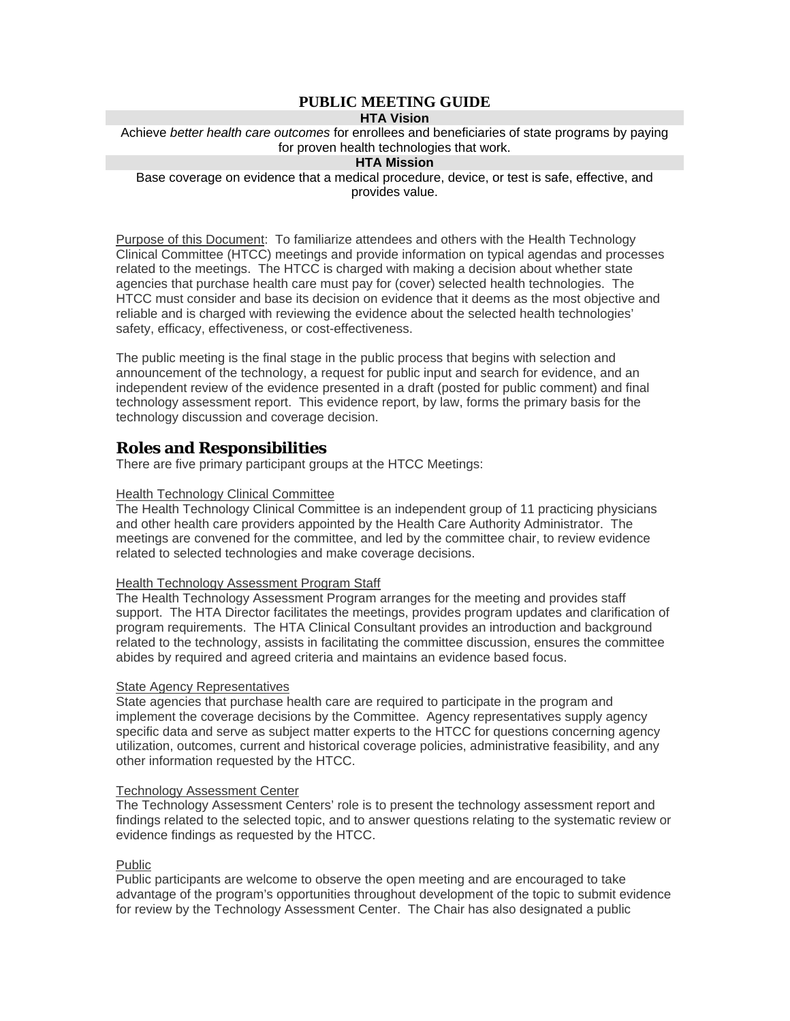## **PUBLIC MEETING GUIDE**

## **HTA Vision**

Achieve *better health care outcomes* for enrollees and beneficiaries of state programs by paying for proven health technologies that work.

#### **HTA Mission**

Base coverage on evidence that a medical procedure, device, or test is safe, effective, and provides value.

Purpose of this Document: To familiarize attendees and others with the Health Technology Clinical Committee (HTCC) meetings and provide information on typical agendas and processes related to the meetings. The HTCC is charged with making a decision about whether state agencies that purchase health care must pay for (cover) selected health technologies. The HTCC must consider and base its decision on evidence that it deems as the most objective and reliable and is charged with reviewing the evidence about the selected health technologies' safety, efficacy, effectiveness, or cost-effectiveness.

The public meeting is the final stage in the public process that begins with selection and announcement of the technology, a request for public input and search for evidence, and an independent review of the evidence presented in a draft (posted for public comment) and final technology assessment report. This evidence report, by law, forms the primary basis for the technology discussion and coverage decision.

## **Roles and Responsibilities**

There are five primary participant groups at the HTCC Meetings:

#### Health Technology Clinical Committee

The Health Technology Clinical Committee is an independent group of 11 practicing physicians and other health care providers appointed by the Health Care Authority Administrator. The meetings are convened for the committee, and led by the committee chair, to review evidence related to selected technologies and make coverage decisions.

#### Health Technology Assessment Program Staff

The Health Technology Assessment Program arranges for the meeting and provides staff support. The HTA Director facilitates the meetings, provides program updates and clarification of program requirements. The HTA Clinical Consultant provides an introduction and background related to the technology, assists in facilitating the committee discussion, ensures the committee abides by required and agreed criteria and maintains an evidence based focus.

#### State Agency Representatives

State agencies that purchase health care are required to participate in the program and implement the coverage decisions by the Committee. Agency representatives supply agency specific data and serve as subject matter experts to the HTCC for questions concerning agency utilization, outcomes, current and historical coverage policies, administrative feasibility, and any other information requested by the HTCC.

#### Technology Assessment Center

The Technology Assessment Centers' role is to present the technology assessment report and findings related to the selected topic, and to answer questions relating to the systematic review or evidence findings as requested by the HTCC.

#### Public

Public participants are welcome to observe the open meeting and are encouraged to take advantage of the program's opportunities throughout development of the topic to submit evidence for review by the Technology Assessment Center. The Chair has also designated a public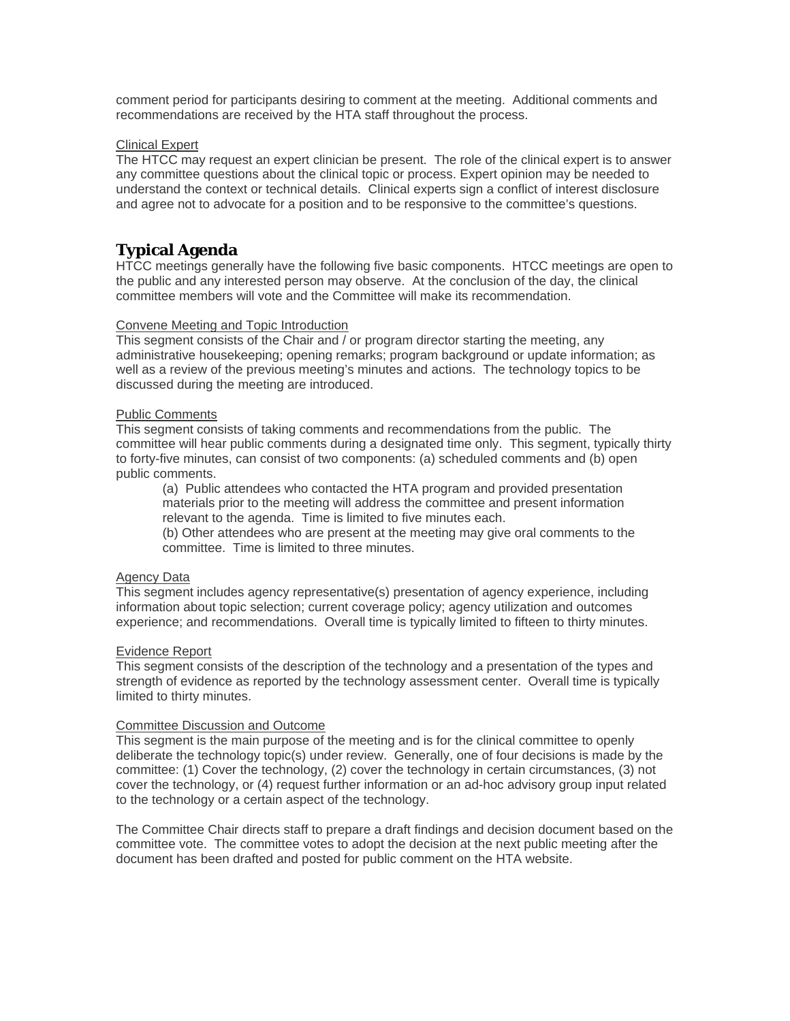comment period for participants desiring to comment at the meeting. Additional comments and recommendations are received by the HTA staff throughout the process.

#### Clinical Expert

The HTCC may request an expert clinician be present. The role of the clinical expert is to answer any committee questions about the clinical topic or process. Expert opinion may be needed to understand the context or technical details. Clinical experts sign a conflict of interest disclosure and agree not to advocate for a position and to be responsive to the committee's questions.

## **Typical Agenda**

HTCC meetings generally have the following five basic components. HTCC meetings are open to the public and any interested person may observe. At the conclusion of the day, the clinical committee members will vote and the Committee will make its recommendation.

#### Convene Meeting and Topic Introduction

This segment consists of the Chair and / or program director starting the meeting, any administrative housekeeping; opening remarks; program background or update information; as well as a review of the previous meeting's minutes and actions. The technology topics to be discussed during the meeting are introduced.

#### Public Comments

This segment consists of taking comments and recommendations from the public. The committee will hear public comments during a designated time only. This segment, typically thirty to forty-five minutes, can consist of two components: (a) scheduled comments and (b) open public comments.

(a) Public attendees who contacted the HTA program and provided presentation materials prior to the meeting will address the committee and present information relevant to the agenda. Time is limited to five minutes each.

(b) Other attendees who are present at the meeting may give oral comments to the committee. Time is limited to three minutes.

#### Agency Data

This segment includes agency representative(s) presentation of agency experience, including information about topic selection; current coverage policy; agency utilization and outcomes experience; and recommendations. Overall time is typically limited to fifteen to thirty minutes.

#### Evidence Report

This segment consists of the description of the technology and a presentation of the types and strength of evidence as reported by the technology assessment center. Overall time is typically limited to thirty minutes.

#### Committee Discussion and Outcome

This segment is the main purpose of the meeting and is for the clinical committee to openly deliberate the technology topic(s) under review. Generally, one of four decisions is made by the committee: (1) Cover the technology, (2) cover the technology in certain circumstances, (3) not cover the technology, or (4) request further information or an ad-hoc advisory group input related to the technology or a certain aspect of the technology.

The Committee Chair directs staff to prepare a draft findings and decision document based on the committee vote. The committee votes to adopt the decision at the next public meeting after the document has been drafted and posted for public comment on the HTA website.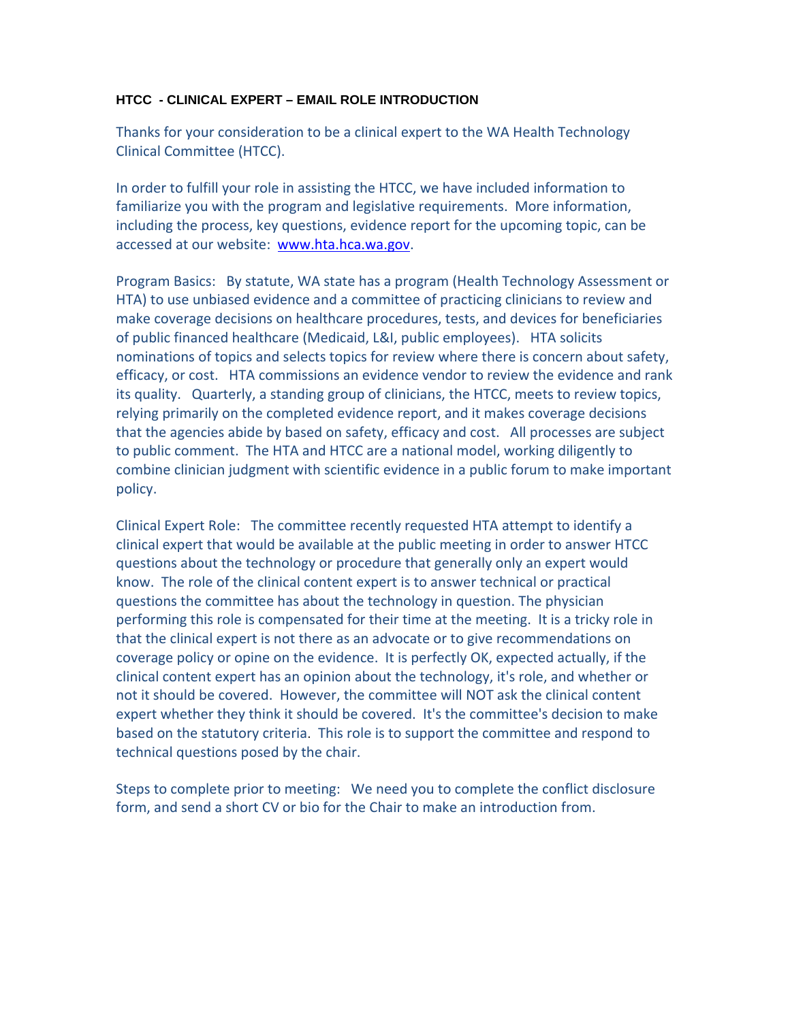### **HTCC - CLINICAL EXPERT – EMAIL ROLE INTRODUCTION**

Thanks for your consideration to be a clinical expert to the WA Health Technology Clinical Committee (HTCC).

In order to fulfill your role in assisting the HTCC, we have included information to familiarize you with the program and legislative requirements. More information, including the process, key questions, evidence report for the upcoming topic, can be accessed at our website: [www.hta.hca.wa.gov.](http://www.hta.hca.wa.gov/)

Program Basics: By statute, WA state has a program (Health Technology Assessment or HTA) to use unbiased evidence and a committee of practicing clinicians to review and make coverage decisions on healthcare procedures, tests, and devices for beneficiaries of public financed healthcare (Medicaid, L&I, public employees). HTA solicits nominations of topics and selects topics for review where there is concern about safety, efficacy, or cost. HTA commissions an evidence vendor to review the evidence and rank its quality. Quarterly, a standing group of clinicians, the HTCC, meets to review topics, relying primarily on the completed evidence report, and it makes coverage decisions that the agencies abide by based on safety, efficacy and cost. All processes are subject to public comment. The HTA and HTCC are a national model, working diligently to combine clinician judgment with scientific evidence in a public forum to make important policy.

Clinical Expert Role: The committee recently requested HTA attempt to identify a clinical expert that would be available at the public meeting in order to answer HTCC questions about the technology or procedure that generally only an expert would know. The role of the clinical content expert is to answer technical or practical questions the committee has about the technology in question. The physician performing this role is compensated for their time at the meeting. It is a tricky role in that the clinical expert is not there as an advocate or to give recommendations on coverage policy or opine on the evidence. It is perfectly OK, expected actually, if the clinical content expert has an opinion about the technology, it's role, and whether or not it should be covered. However, the committee will NOT ask the clinical content expert whether they think it should be covered. It's the committee's decision to make based on the statutory criteria. This role is to support the committee and respond to technical questions posed by the chair.

Steps to complete prior to meeting: We need you to complete the conflict disclosure form, and send a short CV or bio for the Chair to make an introduction from.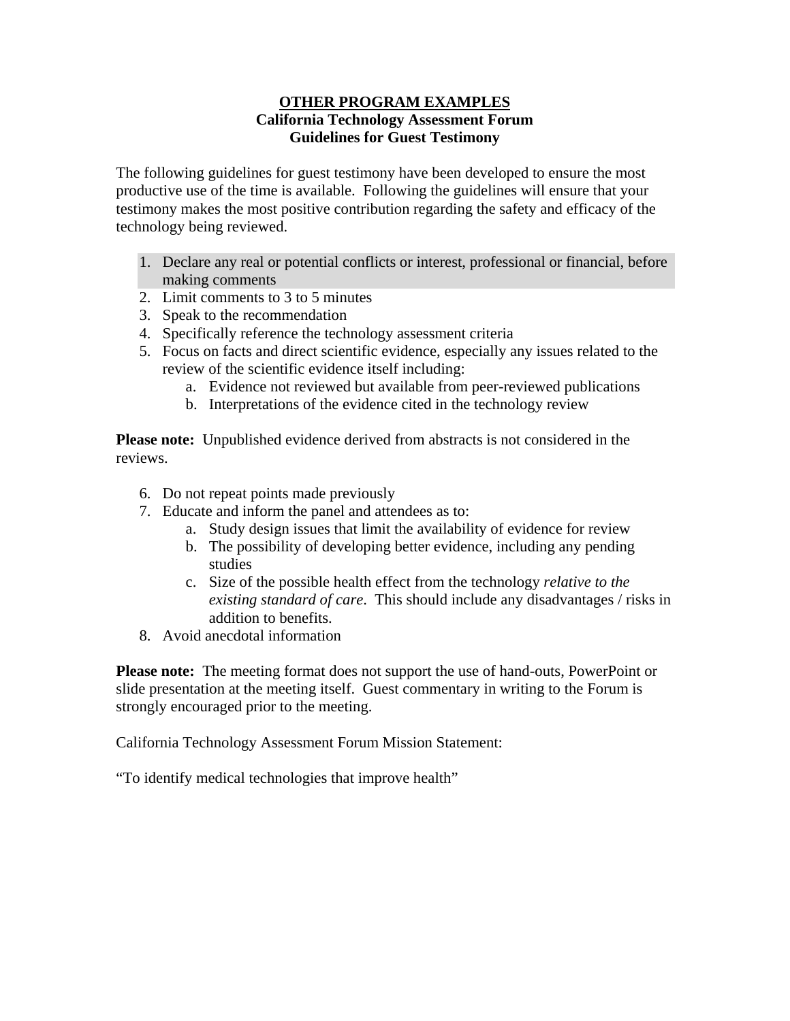## **OTHER PROGRAM EXAMPLES California Technology Assessment Forum Guidelines for Guest Testimony**

The following guidelines for guest testimony have been developed to ensure the most productive use of the time is available. Following the guidelines will ensure that your testimony makes the most positive contribution regarding the safety and efficacy of the technology being reviewed.

- 1. Declare any real or potential conflicts or interest, professional or financial, before making comments
- 2. Limit comments to 3 to 5 minutes
- 3. Speak to the recommendation
- 4. Specifically reference the technology assessment criteria
- 5. Focus on facts and direct scientific evidence, especially any issues related to the review of the scientific evidence itself including:
	- a. Evidence not reviewed but available from peer-reviewed publications
	- b. Interpretations of the evidence cited in the technology review

**Please note:** Unpublished evidence derived from abstracts is not considered in the reviews.

- 6. Do not repeat points made previously
- 7. Educate and inform the panel and attendees as to:
	- a. Study design issues that limit the availability of evidence for review
	- b. The possibility of developing better evidence, including any pending studies
	- c. Size of the possible health effect from the technology *relative to the existing standard of care*. This should include any disadvantages / risks in addition to benefits.
- 8. Avoid anecdotal information

**Please note:** The meeting format does not support the use of hand-outs, PowerPoint or slide presentation at the meeting itself. Guest commentary in writing to the Forum is strongly encouraged prior to the meeting.

California Technology Assessment Forum Mission Statement:

"To identify medical technologies that improve health"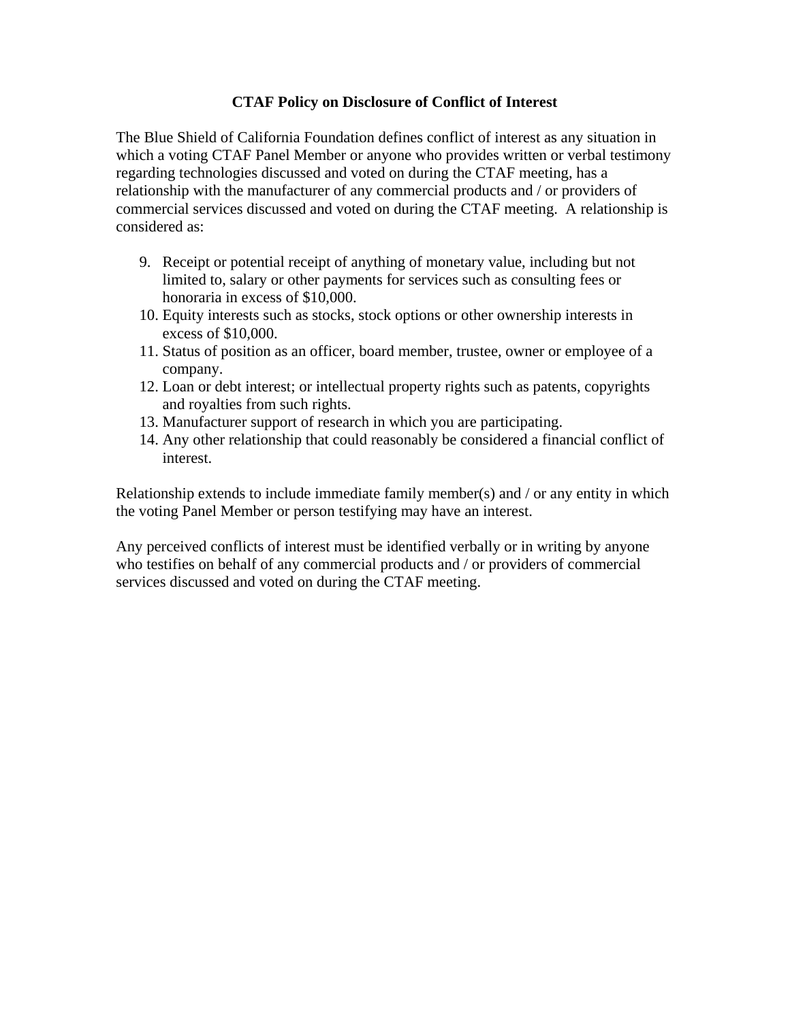## **CTAF Policy on Disclosure of Conflict of Interest**

The Blue Shield of California Foundation defines conflict of interest as any situation in which a voting CTAF Panel Member or anyone who provides written or verbal testimony regarding technologies discussed and voted on during the CTAF meeting, has a relationship with the manufacturer of any commercial products and / or providers of commercial services discussed and voted on during the CTAF meeting. A relationship is considered as:

- 9. Receipt or potential receipt of anything of monetary value, including but not limited to, salary or other payments for services such as consulting fees or honoraria in excess of \$10,000.
- 10. Equity interests such as stocks, stock options or other ownership interests in excess of \$10,000.
- 11. Status of position as an officer, board member, trustee, owner or employee of a company.
- 12. Loan or debt interest; or intellectual property rights such as patents, copyrights and royalties from such rights.
- 13. Manufacturer support of research in which you are participating.
- 14. Any other relationship that could reasonably be considered a financial conflict of interest.

Relationship extends to include immediate family member(s) and / or any entity in which the voting Panel Member or person testifying may have an interest.

Any perceived conflicts of interest must be identified verbally or in writing by anyone who testifies on behalf of any commercial products and / or providers of commercial services discussed and voted on during the CTAF meeting.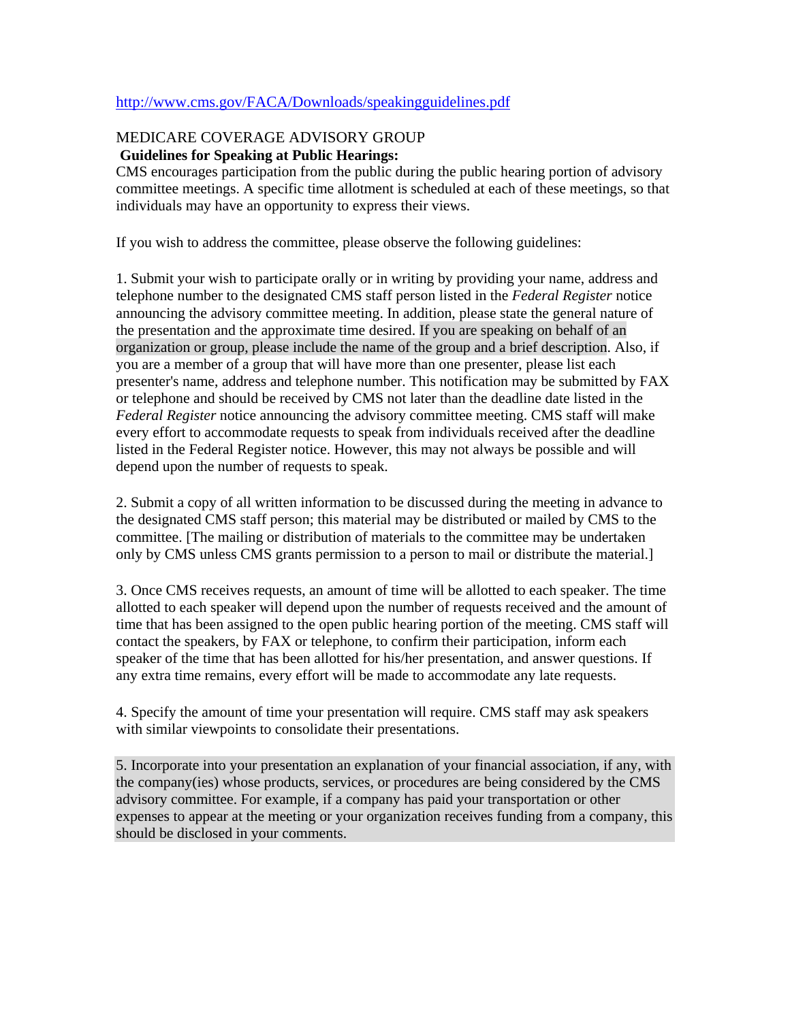## <http://www.cms.gov/FACA/Downloads/speakingguidelines.pdf>

## MEDICARE COVERAGE ADVISORY GROUP

## **Guidelines for Speaking at Public Hearings:**

CMS encourages participation from the public during the public hearing portion of advisory committee meetings. A specific time allotment is scheduled at each of these meetings, so that individuals may have an opportunity to express their views.

If you wish to address the committee, please observe the following guidelines:

1. Submit your wish to participate orally or in writing by providing your name, address and telephone number to the designated CMS staff person listed in the *Federal Register* notice announcing the advisory committee meeting. In addition, please state the general nature of the presentation and the approximate time desired. If you are speaking on behalf of an organization or group, please include the name of the group and a brief description. Also, if you are a member of a group that will have more than one presenter, please list each presenter's name, address and telephone number. This notification may be submitted by FAX or telephone and should be received by CMS not later than the deadline date listed in the *Federal Register* notice announcing the advisory committee meeting. CMS staff will make every effort to accommodate requests to speak from individuals received after the deadline listed in the Federal Register notice. However, this may not always be possible and will depend upon the number of requests to speak.

2. Submit a copy of all written information to be discussed during the meeting in advance to the designated CMS staff person; this material may be distributed or mailed by CMS to the committee. [The mailing or distribution of materials to the committee may be undertaken only by CMS unless CMS grants permission to a person to mail or distribute the material.]

3. Once CMS receives requests, an amount of time will be allotted to each speaker. The time allotted to each speaker will depend upon the number of requests received and the amount of time that has been assigned to the open public hearing portion of the meeting. CMS staff will contact the speakers, by FAX or telephone, to confirm their participation, inform each speaker of the time that has been allotted for his/her presentation, and answer questions. If any extra time remains, every effort will be made to accommodate any late requests.

4. Specify the amount of time your presentation will require. CMS staff may ask speakers with similar viewpoints to consolidate their presentations.

5. Incorporate into your presentation an explanation of your financial association, if any, with the company(ies) whose products, services, or procedures are being considered by the CMS advisory committee. For example, if a company has paid your transportation or other expenses to appear at the meeting or your organization receives funding from a company, this should be disclosed in your comments.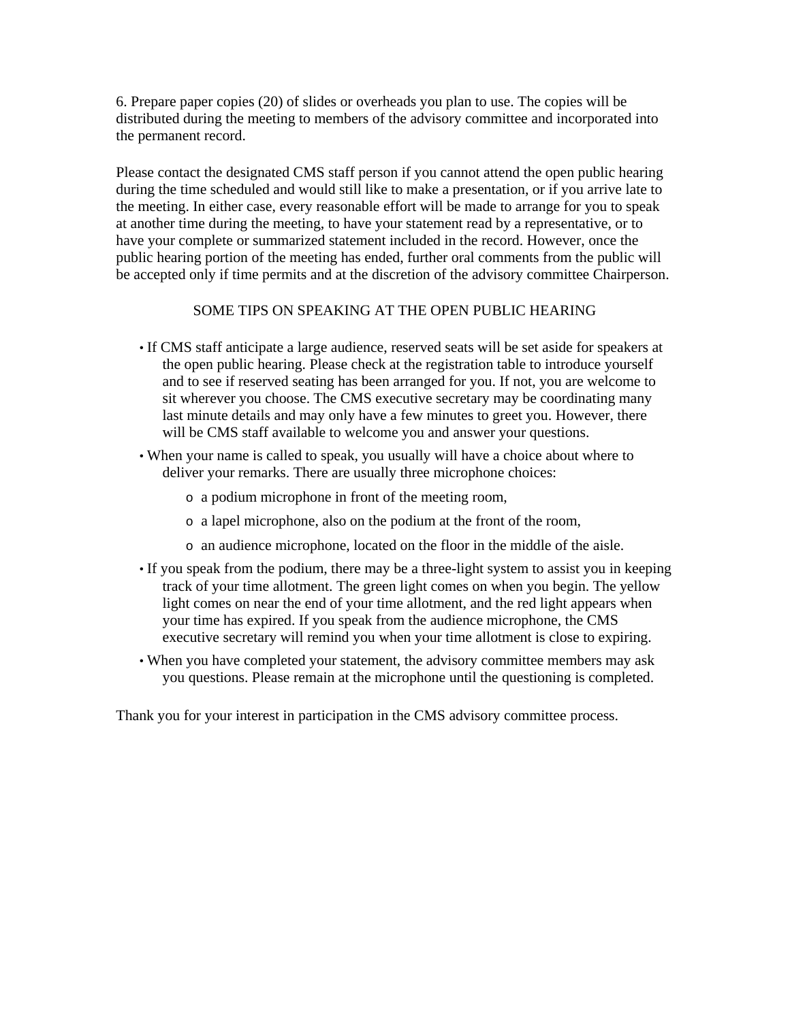6. Prepare paper copies (20) of slides or overheads you plan to use. The copies will be distributed during the meeting to members of the advisory committee and incorporated into the permanent record.

Please contact the designated CMS staff person if you cannot attend the open public hearing during the time scheduled and would still like to make a presentation, or if you arrive late to the meeting. In either case, every reasonable effort will be made to arrange for you to speak at another time during the meeting, to have your statement read by a representative, or to have your complete or summarized statement included in the record. However, once the public hearing portion of the meeting has ended, further oral comments from the public will be accepted only if time permits and at the discretion of the advisory committee Chairperson.

## SOME TIPS ON SPEAKING AT THE OPEN PUBLIC HEARING

- If CMS staff anticipate a large audience, reserved seats will be set aside for speakers at the open public hearing. Please check at the registration table to introduce yourself and to see if reserved seating has been arranged for you. If not, you are welcome to sit wherever you choose. The CMS executive secretary may be coordinating many last minute details and may only have a few minutes to greet you. However, there will be CMS staff available to welcome you and answer your questions.
- When your name is called to speak, you usually will have a choice about where to deliver your remarks. There are usually three microphone choices:
	- o a podium microphone in front of the meeting room,
	- o a lapel microphone, also on the podium at the front of the room,
	- o an audience microphone, located on the floor in the middle of the aisle.
- If you speak from the podium, there may be a three-light system to assist you in keeping track of your time allotment. The green light comes on when you begin. The yellow light comes on near the end of your time allotment, and the red light appears when your time has expired. If you speak from the audience microphone, the CMS executive secretary will remind you when your time allotment is close to expiring.
- When you have completed your statement, the advisory committee members may ask you questions. Please remain at the microphone until the questioning is completed.

Thank you for your interest in participation in the CMS advisory committee process.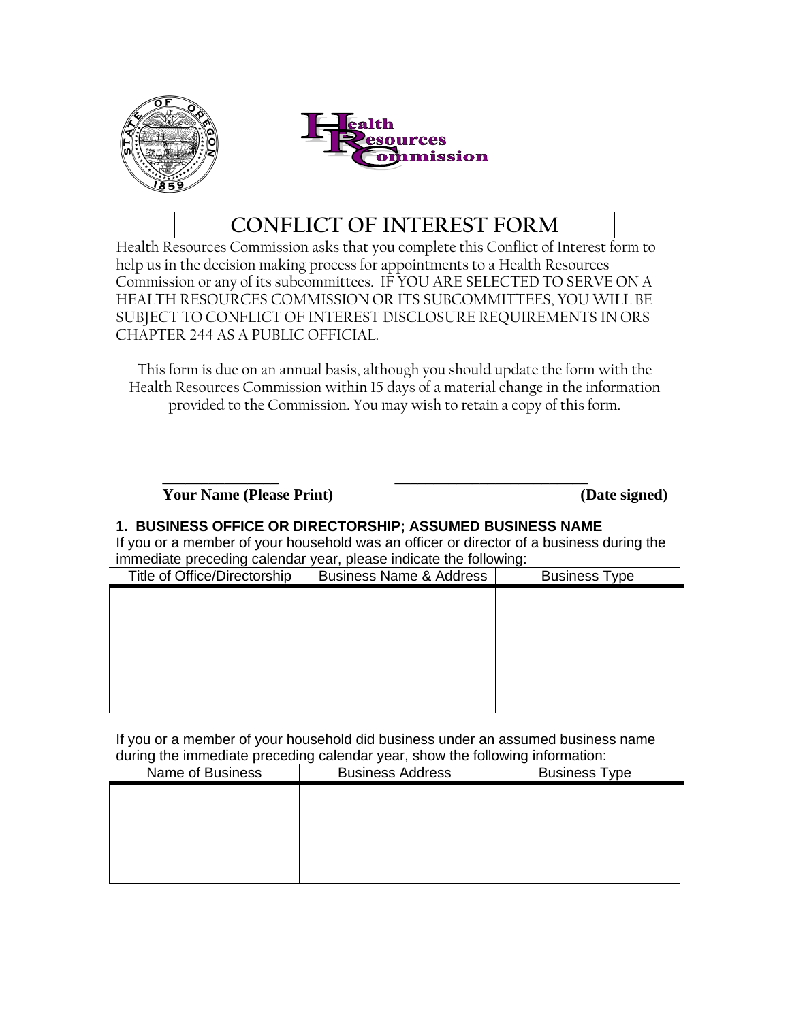



# **CONFLICT OF INTEREST FORM**

Health Resources Commission asks that you complete this Conflict of Interest form to help us in the decision making process for appointments to a Health Resources Commission or any of its subcommittees. IF YOU ARE SELECTED TO SERVE ON A HEALTH RESOURCES COMMISSION OR ITS SUBCOMMITTEES, YOU WILL BE SUBJECT TO CONFLICT OF INTEREST DISCLOSURE REQUIREMENTS IN ORS CHAPTER 244 AS A PUBLIC OFFICIAL.

This form is due on an annual basis, although you should update the form with the Health Resources Commission within 15 days of a material change in the information provided to the Commission. You may wish to retain a copy of this form.

**\_\_\_\_\_\_\_\_\_\_\_\_\_\_\_ \_\_\_\_\_\_\_\_\_\_\_\_\_\_\_\_\_\_\_\_\_\_\_\_\_ Your Name (Please Print) (Date signed)** 

## **1. BUSINESS OFFICE OR DIRECTORSHIP; ASSUMED BUSINESS NAME**

If you or a member of your household was an officer or director of a business during the immediate preceding calendar year, please indicate the following:

| Title of Office/Directorship | <b>Business Name &amp; Address</b> | $\sim$<br><b>Business Type</b> |
|------------------------------|------------------------------------|--------------------------------|
|                              |                                    |                                |
|                              |                                    |                                |
|                              |                                    |                                |
|                              |                                    |                                |
|                              |                                    |                                |
|                              |                                    |                                |
|                              |                                    |                                |

If you or a member of your household did business under an assumed business name during the immediate preceding calendar year, show the following information:

| adding the immediate proceding calculating your, onew the renowing imprintation. |                         |                      |  |  |
|----------------------------------------------------------------------------------|-------------------------|----------------------|--|--|
| Name of Business                                                                 | <b>Business Address</b> | <b>Business Type</b> |  |  |
|                                                                                  |                         |                      |  |  |
|                                                                                  |                         |                      |  |  |
|                                                                                  |                         |                      |  |  |
|                                                                                  |                         |                      |  |  |
|                                                                                  |                         |                      |  |  |
|                                                                                  |                         |                      |  |  |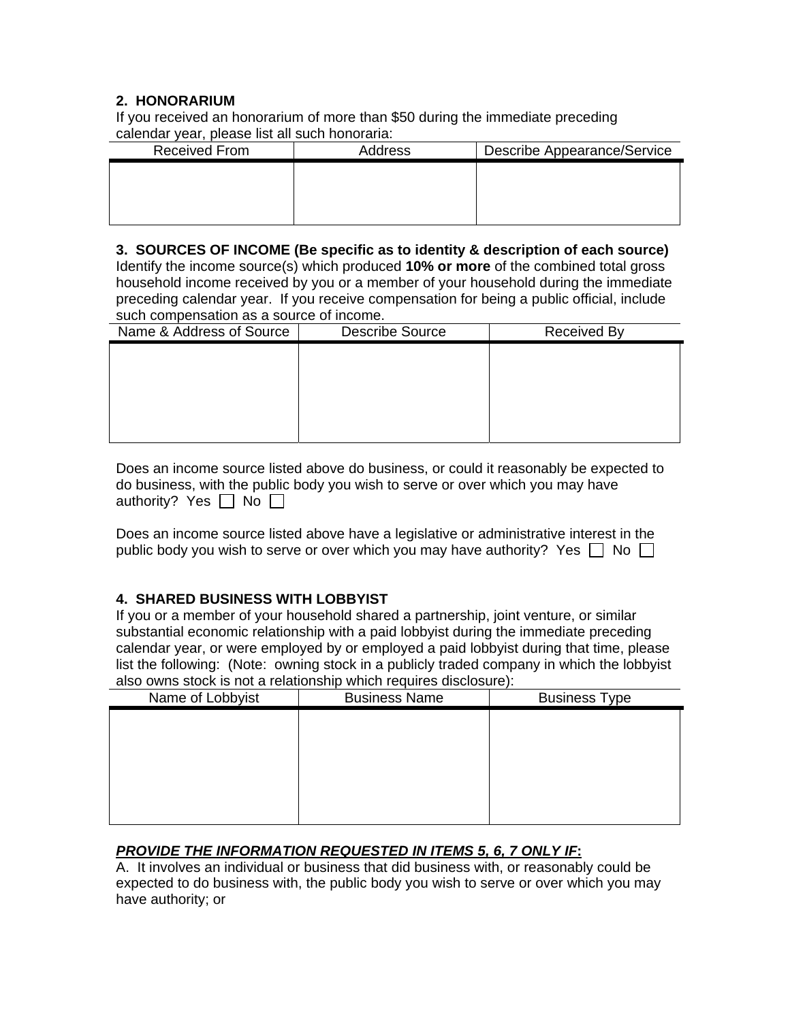## **2. HONORARIUM**

If you received an honorarium of more than \$50 during the immediate preceding calendar year, please list all such honoraria:

| <b>Received From</b> | Address | Describe Appearance/Service |
|----------------------|---------|-----------------------------|
|                      |         |                             |
|                      |         |                             |
|                      |         |                             |
|                      |         |                             |

**3. SOURCES OF INCOME (Be specific as to identity & description of each source)**  Identify the income source(s) which produced **10% or more** of the combined total gross household income received by you or a member of your household during the immediate preceding calendar year. If you receive compensation for being a public official, include such compensation as a source of income.

| Name & Address of Source | <b>Describe Source</b> | <b>Received By</b> |
|--------------------------|------------------------|--------------------|
|                          |                        |                    |
|                          |                        |                    |
|                          |                        |                    |
|                          |                        |                    |
|                          |                        |                    |

| Does an income source listed above do business, or could it reasonably be expected to |
|---------------------------------------------------------------------------------------|
| do business, with the public body you wish to serve or over which you may have        |
| authority? Yes $\Box$ No $\Box$                                                       |

Does an income source listed above have a legislative or administrative interest in the public body you wish to serve or over which you may have authority? Yes  $\Box$  No  $\Box$ 

## **4. SHARED BUSINESS WITH LOBBYIST**

If you or a member of your household shared a partnership, joint venture, or similar substantial economic relationship with a paid lobbyist during the immediate preceding calendar year, or were employed by or employed a paid lobbyist during that time, please list the following: (Note: owning stock in a publicly traded company in which the lobbyist also owns stock is not a relationship which requires disclosure):

| Name of Lobbyist | <b>Business Name</b> | <b>Business Type</b> |  |
|------------------|----------------------|----------------------|--|
|                  |                      |                      |  |
|                  |                      |                      |  |
|                  |                      |                      |  |
|                  |                      |                      |  |
|                  |                      |                      |  |
|                  |                      |                      |  |

## *PROVIDE THE INFORMATION REQUESTED IN ITEMS 5, 6, 7 ONLY IF***:**

A. It involves an individual or business that did business with, or reasonably could be expected to do business with, the public body you wish to serve or over which you may have authority; or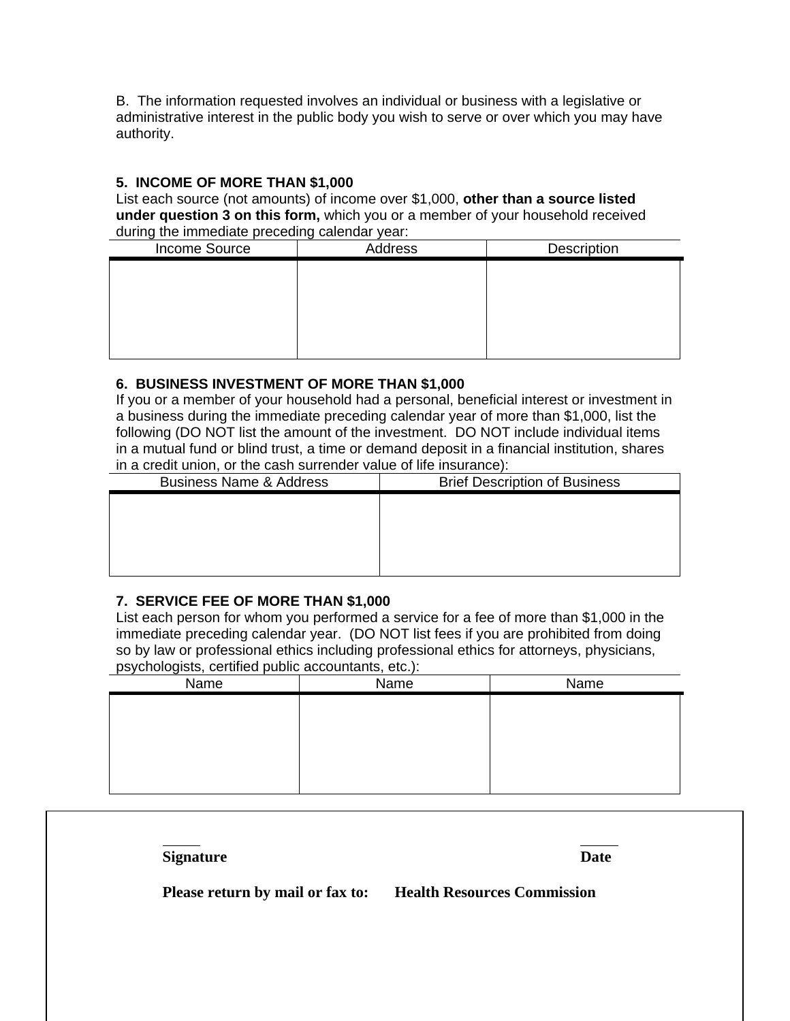B. The information requested involves an individual or business with a legislative or administrative interest in the public body you wish to serve or over which you may have authority.

## **5. INCOME OF MORE THAN \$1,000**

List each source (not amounts) of income over \$1,000, **other than a source listed under question 3 on this form,** which you or a member of your household received during the immediate preceding calendar year:

| Income Source | Address | Description |
|---------------|---------|-------------|
|               |         |             |
|               |         |             |
|               |         |             |
|               |         |             |
|               |         |             |
|               |         |             |

### **6. BUSINESS INVESTMENT OF MORE THAN \$1,000**

If you or a member of your household had a personal, beneficial interest or investment in a business during the immediate preceding calendar year of more than \$1,000, list the following (DO NOT list the amount of the investment. DO NOT include individual items in a mutual fund or blind trust, a time or demand deposit in a financial institution, shares in a credit union, or the cash surrender value of life insurance):

| <b>Business Name &amp; Address</b> | <b>Brief Description of Business</b> |  |
|------------------------------------|--------------------------------------|--|
|                                    |                                      |  |
|                                    |                                      |  |
|                                    |                                      |  |
|                                    |                                      |  |
|                                    |                                      |  |

## **7. SERVICE FEE OF MORE THAN \$1,000**

List each person for whom you performed a service for a fee of more than \$1,000 in the immediate preceding calendar year. (DO NOT list fees if you are prohibited from doing so by law or professional ethics including professional ethics for attorneys, physicians, psychologists, certified public accountants, etc.):

| - ت - ت - ت<br>Name | $\cdot$ = $\cdot$ = $\cdot$ =<br>Name | Name |
|---------------------|---------------------------------------|------|
|                     |                                       |      |
|                     |                                       |      |
|                     |                                       |      |
|                     |                                       |      |
|                     |                                       |      |
|                     |                                       |      |

| <b>Signature</b>                 | Date                               |
|----------------------------------|------------------------------------|
| Please return by mail or fax to: | <b>Health Resources Commission</b> |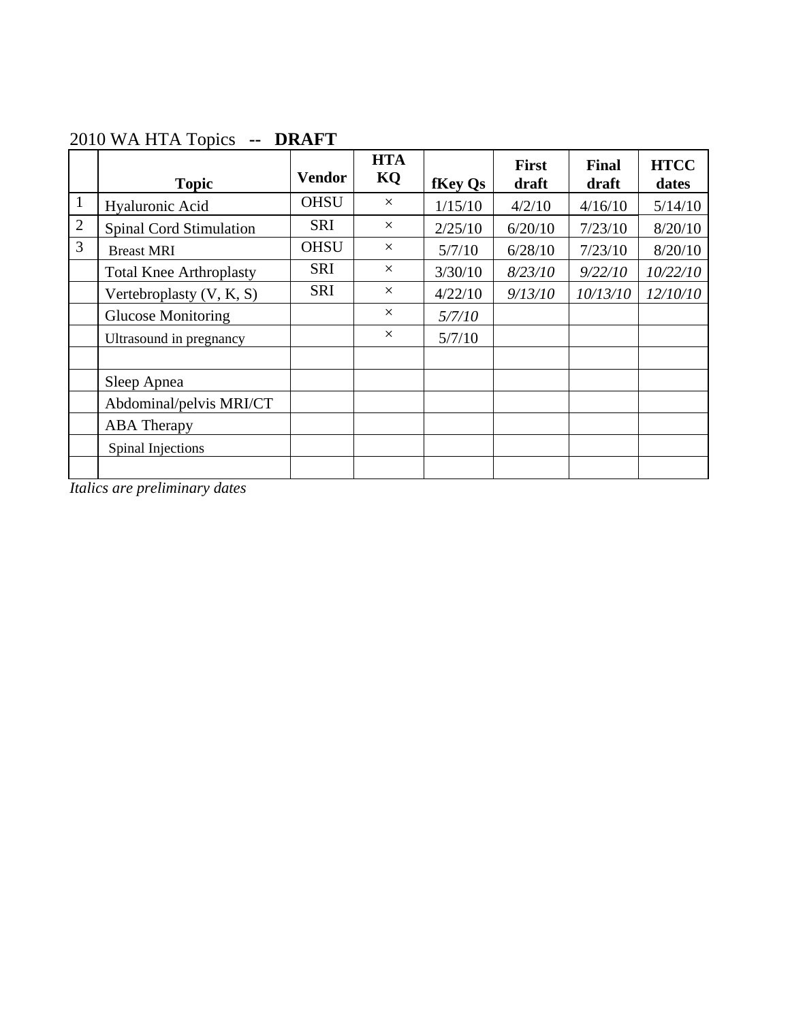|                | <b>Topic</b>                   | <b>Vendor</b> | <b>HTA</b><br>KQ | fKey Qs | <b>First</b><br>draft | <b>Final</b><br>draft | <b>HTCC</b><br>dates |
|----------------|--------------------------------|---------------|------------------|---------|-----------------------|-----------------------|----------------------|
| $\mathbf{1}$   | Hyaluronic Acid                | <b>OHSU</b>   | $\times$         | 1/15/10 | 4/2/10                | 4/16/10               | 5/14/10              |
| $\overline{2}$ | <b>Spinal Cord Stimulation</b> | <b>SRI</b>    | $\times$         | 2/25/10 | 6/20/10               | 7/23/10               | 8/20/10              |
| 3              | <b>Breast MRI</b>              | <b>OHSU</b>   | $\times$         | 5/7/10  | 6/28/10               | 7/23/10               | 8/20/10              |
|                | <b>Total Knee Arthroplasty</b> | <b>SRI</b>    | $\times$         | 3/30/10 | 8/23/10               | 9/22/10               | 10/22/10             |
|                | Vertebroplasty $(V, K, S)$     | <b>SRI</b>    | $\times$         | 4/22/10 | 9/13/10               | 10/13/10              | 12/10/10             |
|                | <b>Glucose Monitoring</b>      |               | $\times$         | 5/7/10  |                       |                       |                      |
|                | Ultrasound in pregnancy        |               | $\times$         | 5/7/10  |                       |                       |                      |
|                |                                |               |                  |         |                       |                       |                      |
|                | Sleep Apnea                    |               |                  |         |                       |                       |                      |
|                | Abdominal/pelvis MRI/CT        |               |                  |         |                       |                       |                      |
|                | <b>ABA</b> Therapy             |               |                  |         |                       |                       |                      |
|                | Spinal Injections              |               |                  |         |                       |                       |                      |
|                |                                |               |                  |         |                       |                       |                      |

# 2010 WA HTA Topics **-- DRAFT**

*Italics are preliminary dates*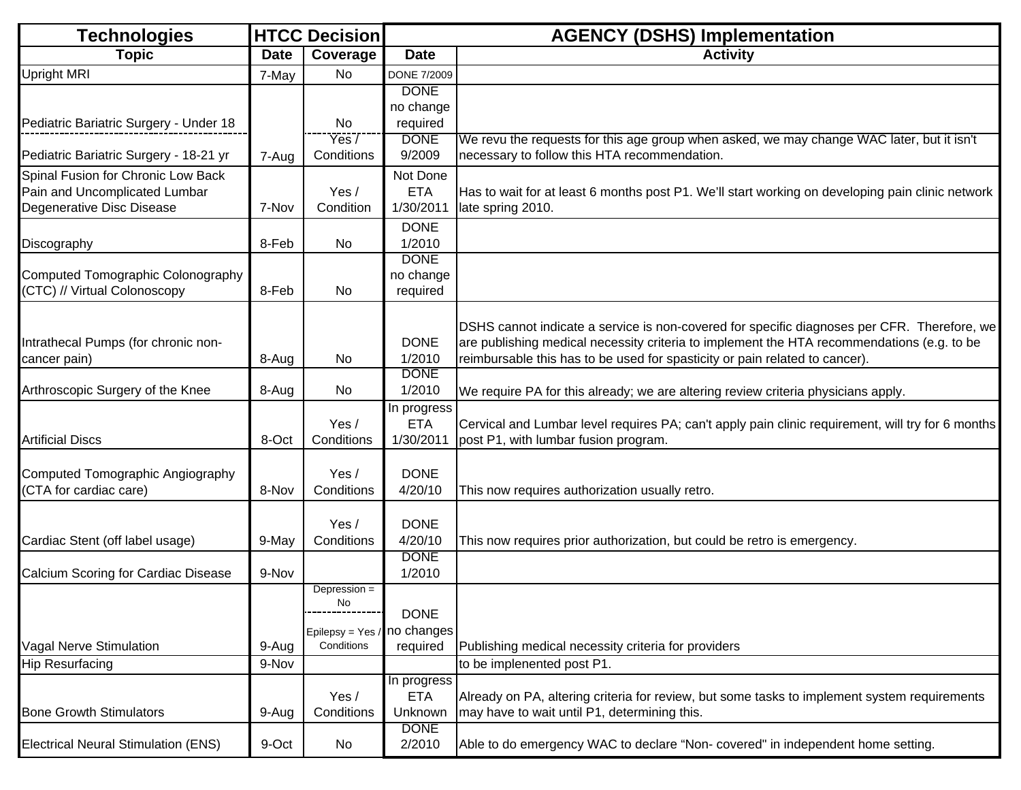| <b>Technologies</b>                                                                              |             | <b>HTCC Decision</b>                                             | <b>AGENCY (DSHS) Implementation</b>    |                                                                                                                                                                                                                                                                          |  |
|--------------------------------------------------------------------------------------------------|-------------|------------------------------------------------------------------|----------------------------------------|--------------------------------------------------------------------------------------------------------------------------------------------------------------------------------------------------------------------------------------------------------------------------|--|
| <b>Topic</b>                                                                                     | <b>Date</b> | Coverage                                                         | <b>Date</b>                            | <b>Activity</b>                                                                                                                                                                                                                                                          |  |
| <b>Upright MRI</b>                                                                               | 7-May       | <b>No</b>                                                        | <b>DONE 7/2009</b>                     |                                                                                                                                                                                                                                                                          |  |
| Pediatric Bariatric Surgery - Under 18                                                           |             | No                                                               | <b>DONE</b><br>no change<br>required   |                                                                                                                                                                                                                                                                          |  |
|                                                                                                  |             | Yes/                                                             | <b>DONE</b>                            | We revu the requests for this age group when asked, we may change WAC later, but it isn't                                                                                                                                                                                |  |
| Pediatric Bariatric Surgery - 18-21 yr                                                           | 7-Aug       | Conditions                                                       | 9/2009                                 | necessary to follow this HTA recommendation.                                                                                                                                                                                                                             |  |
| Spinal Fusion for Chronic Low Back<br>Pain and Uncomplicated Lumbar<br>Degenerative Disc Disease | 7-Nov       | Yes /<br>Condition                                               | Not Done<br><b>ETA</b><br>1/30/2011    | Has to wait for at least 6 months post P1. We'll start working on developing pain clinic network<br>late spring 2010.                                                                                                                                                    |  |
| Discography                                                                                      | 8-Feb       | No                                                               | <b>DONE</b><br>1/2010                  |                                                                                                                                                                                                                                                                          |  |
| Computed Tomographic Colonography<br>(CTC) // Virtual Colonoscopy                                | 8-Feb       | <b>No</b>                                                        | <b>DONE</b><br>no change<br>required   |                                                                                                                                                                                                                                                                          |  |
| Intrathecal Pumps (for chronic non-<br>cancer pain)                                              | 8-Aug       | No                                                               | <b>DONE</b><br>1/2010                  | DSHS cannot indicate a service is non-covered for specific diagnoses per CFR. Therefore, we<br>are publishing medical necessity criteria to implement the HTA recommendations (e.g. to be<br>reimbursable this has to be used for spasticity or pain related to cancer). |  |
| Arthroscopic Surgery of the Knee                                                                 | 8-Aug       | No.                                                              | <b>DONE</b><br>1/2010                  | We require PA for this already; we are altering review criteria physicians apply.                                                                                                                                                                                        |  |
| <b>Artificial Discs</b>                                                                          | 8-Oct       | Yes /<br>Conditions                                              | In progress<br><b>ETA</b><br>1/30/2011 | Cervical and Lumbar level requires PA; can't apply pain clinic requirement, will try for 6 months<br>post P1, with lumbar fusion program.                                                                                                                                |  |
| Computed Tomographic Angiography<br>(CTA for cardiac care)                                       | 8-Nov       | Yes/<br>Conditions                                               | <b>DONE</b><br>4/20/10                 | This now requires authorization usually retro.                                                                                                                                                                                                                           |  |
| Cardiac Stent (off label usage)                                                                  | 9-May       | Yes /<br>Conditions                                              | <b>DONE</b><br>4/20/10                 | This now requires prior authorization, but could be retro is emergency.                                                                                                                                                                                                  |  |
| Calcium Scoring for Cardiac Disease                                                              | 9-Nov       |                                                                  | <b>DONE</b><br>1/2010                  |                                                                                                                                                                                                                                                                          |  |
| Vagal Nerve Stimulation                                                                          | 9-Aug       | Depression =<br>No.<br>Epilepsy = Yes / no changes<br>Conditions | <b>DONE</b><br>required                | Publishing medical necessity criteria for providers                                                                                                                                                                                                                      |  |
| <b>Hip Resurfacing</b>                                                                           | 9-Nov       |                                                                  |                                        | to be implenented post P1.                                                                                                                                                                                                                                               |  |
| <b>Bone Growth Stimulators</b>                                                                   | 9-Aug       | Yes /<br>Conditions                                              | In progress<br><b>ETA</b><br>Unknown   | Already on PA, altering criteria for review, but some tasks to implement system requirements<br>may have to wait until P1, determining this.                                                                                                                             |  |
| <b>Electrical Neural Stimulation (ENS)</b>                                                       | 9-Oct       | No                                                               | <b>DONE</b><br>2/2010                  | Able to do emergency WAC to declare "Non-covered" in independent home setting.                                                                                                                                                                                           |  |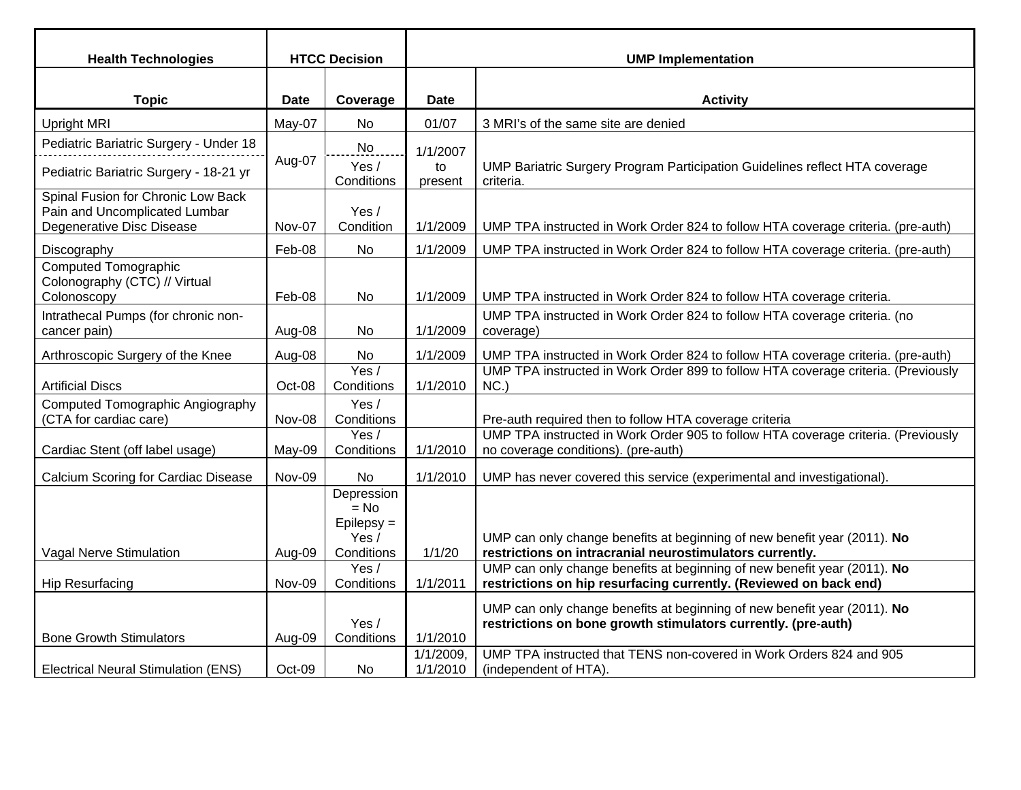| <b>Health Technologies</b>                                                                       |             | <b>HTCC Decision</b>                                         |                          | <b>UMP Implementation</b>                                                                                                                 |  |  |
|--------------------------------------------------------------------------------------------------|-------------|--------------------------------------------------------------|--------------------------|-------------------------------------------------------------------------------------------------------------------------------------------|--|--|
|                                                                                                  |             |                                                              |                          |                                                                                                                                           |  |  |
| <b>Topic</b>                                                                                     | <b>Date</b> | Coverage                                                     | <b>Date</b>              | <b>Activity</b>                                                                                                                           |  |  |
| <b>Upright MRI</b>                                                                               | May-07      | <b>No</b>                                                    | 01/07                    | 3 MRI's of the same site are denied                                                                                                       |  |  |
| Pediatric Bariatric Surgery - Under 18                                                           |             | No                                                           | 1/1/2007                 |                                                                                                                                           |  |  |
| Pediatric Bariatric Surgery - 18-21 yr                                                           | Aug-07      | Yes /<br>Conditions                                          | to<br>present            | UMP Bariatric Surgery Program Participation Guidelines reflect HTA coverage<br>criteria.                                                  |  |  |
| Spinal Fusion for Chronic Low Back<br>Pain and Uncomplicated Lumbar<br>Degenerative Disc Disease | Nov-07      | Yes /<br>Condition                                           | 1/1/2009                 | UMP TPA instructed in Work Order 824 to follow HTA coverage criteria. (pre-auth)                                                          |  |  |
| Discography                                                                                      | Feb-08      | No.                                                          | 1/1/2009                 | UMP TPA instructed in Work Order 824 to follow HTA coverage criteria. (pre-auth)                                                          |  |  |
| <b>Computed Tomographic</b><br>Colonography (CTC) // Virtual<br>Colonoscopy                      | Feb-08      | No                                                           | 1/1/2009                 | UMP TPA instructed in Work Order 824 to follow HTA coverage criteria.                                                                     |  |  |
| Intrathecal Pumps (for chronic non-<br>cancer pain)                                              | Aug-08      | No                                                           | 1/1/2009                 | UMP TPA instructed in Work Order 824 to follow HTA coverage criteria. (no<br>coverage)                                                    |  |  |
| Arthroscopic Surgery of the Knee                                                                 | Aug-08      | No                                                           | 1/1/2009                 | UMP TPA instructed in Work Order 824 to follow HTA coverage criteria. (pre-auth)                                                          |  |  |
| <b>Artificial Discs</b>                                                                          | Oct-08      | Yes /<br>Conditions                                          | 1/1/2010                 | UMP TPA instructed in Work Order 899 to follow HTA coverage criteria. (Previously<br>NC.                                                  |  |  |
| Computed Tomographic Angiography<br>(CTA for cardiac care)                                       | Nov-08      | Yes /<br>Conditions                                          |                          | Pre-auth required then to follow HTA coverage criteria                                                                                    |  |  |
| Cardiac Stent (off label usage)                                                                  | May-09      | Yes /<br>Conditions                                          | 1/1/2010                 | UMP TPA instructed in Work Order 905 to follow HTA coverage criteria. (Previously<br>no coverage conditions). (pre-auth)                  |  |  |
| <b>Calcium Scoring for Cardiac Disease</b>                                                       | Nov-09      | No                                                           | 1/1/2010                 | UMP has never covered this service (experimental and investigational).                                                                    |  |  |
| Vagal Nerve Stimulation                                                                          | Aug-09      | Depression<br>$= No$<br>$E$ pilepsy =<br>Yes /<br>Conditions | 1/1/20                   | UMP can only change benefits at beginning of new benefit year (2011). No<br>restrictions on intracranial neurostimulators currently.      |  |  |
|                                                                                                  |             | Yes /                                                        |                          | UMP can only change benefits at beginning of new benefit year (2011). No                                                                  |  |  |
| <b>Hip Resurfacing</b>                                                                           | Nov-09      | Conditions                                                   | 1/1/2011                 | restrictions on hip resurfacing currently. (Reviewed on back end)                                                                         |  |  |
| <b>Bone Growth Stimulators</b>                                                                   | Aug-09      | Yes /<br>Conditions                                          | 1/1/2010                 | UMP can only change benefits at beginning of new benefit year (2011). No<br>restrictions on bone growth stimulators currently. (pre-auth) |  |  |
| <b>Electrical Neural Stimulation (ENS)</b>                                                       | Oct-09      | No.                                                          | $1/1/2009$ ,<br>1/1/2010 | UMP TPA instructed that TENS non-covered in Work Orders 824 and 905<br>(independent of HTA).                                              |  |  |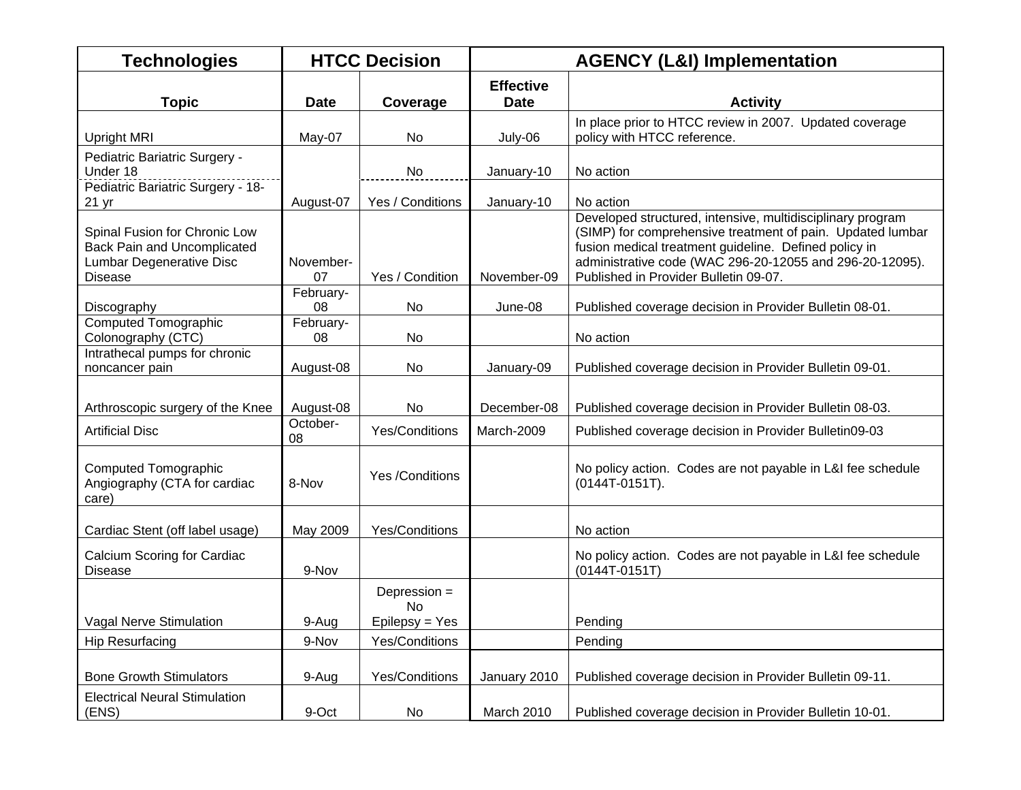| <b>Technologies</b>                                                                                               |                 | <b>HTCC Decision</b>                 |                                 | <b>AGENCY (L&amp;I) Implementation</b>                                                                                                                                                                                                                                                 |  |  |
|-------------------------------------------------------------------------------------------------------------------|-----------------|--------------------------------------|---------------------------------|----------------------------------------------------------------------------------------------------------------------------------------------------------------------------------------------------------------------------------------------------------------------------------------|--|--|
| <b>Topic</b>                                                                                                      | <b>Date</b>     | Coverage                             | <b>Effective</b><br><b>Date</b> | <b>Activity</b>                                                                                                                                                                                                                                                                        |  |  |
| <b>Upright MRI</b>                                                                                                | May-07          | No                                   | July-06                         | In place prior to HTCC review in 2007. Updated coverage<br>policy with HTCC reference.                                                                                                                                                                                                 |  |  |
| Pediatric Bariatric Surgery -<br>Under 18                                                                         |                 | No                                   | January-10                      | No action                                                                                                                                                                                                                                                                              |  |  |
| Pediatric Bariatric Surgery - 18-<br>21 yr                                                                        | August-07       | Yes / Conditions                     | January-10                      | No action                                                                                                                                                                                                                                                                              |  |  |
| Spinal Fusion for Chronic Low<br><b>Back Pain and Uncomplicated</b><br>Lumbar Degenerative Disc<br><b>Disease</b> | November-<br>07 | Yes / Condition                      | November-09                     | Developed structured, intensive, multidisciplinary program<br>(SIMP) for comprehensive treatment of pain. Updated lumbar<br>fusion medical treatment guideline. Defined policy in<br>administrative code (WAC 296-20-12055 and 296-20-12095).<br>Published in Provider Bulletin 09-07. |  |  |
| Discography                                                                                                       | February-<br>08 | <b>No</b>                            | June-08                         | Published coverage decision in Provider Bulletin 08-01.                                                                                                                                                                                                                                |  |  |
| <b>Computed Tomographic</b><br>Colonography (CTC)                                                                 | February-<br>08 | <b>No</b>                            |                                 | No action                                                                                                                                                                                                                                                                              |  |  |
| Intrathecal pumps for chronic<br>noncancer pain                                                                   | August-08       | No.                                  | January-09                      | Published coverage decision in Provider Bulletin 09-01.                                                                                                                                                                                                                                |  |  |
| Arthroscopic surgery of the Knee                                                                                  | August-08       | No                                   | December-08                     | Published coverage decision in Provider Bulletin 08-03.                                                                                                                                                                                                                                |  |  |
| <b>Artificial Disc</b>                                                                                            | October-<br>08  | Yes/Conditions                       | March-2009                      | Published coverage decision in Provider Bulletin09-03                                                                                                                                                                                                                                  |  |  |
| Computed Tomographic<br>Angiography (CTA for cardiac<br>care)                                                     | 8-Nov           | Yes /Conditions                      |                                 | No policy action. Codes are not payable in L&I fee schedule<br>$(0144T-0151T).$                                                                                                                                                                                                        |  |  |
| Cardiac Stent (off label usage)                                                                                   | May 2009        | Yes/Conditions                       |                                 | No action                                                                                                                                                                                                                                                                              |  |  |
| Calcium Scoring for Cardiac<br>Disease                                                                            | 9-Nov           |                                      |                                 | No policy action. Codes are not payable in L&I fee schedule<br>(0144T-0151T)                                                                                                                                                                                                           |  |  |
| <b>Vagal Nerve Stimulation</b>                                                                                    | 9-Aug           | Depression =<br>No<br>Epilepsy = Yes |                                 | Pending                                                                                                                                                                                                                                                                                |  |  |
| <b>Hip Resurfacing</b>                                                                                            | 9-Nov           | Yes/Conditions                       |                                 | Pending                                                                                                                                                                                                                                                                                |  |  |
|                                                                                                                   |                 |                                      |                                 |                                                                                                                                                                                                                                                                                        |  |  |
| <b>Bone Growth Stimulators</b>                                                                                    | 9-Aug           | Yes/Conditions                       | January 2010                    | Published coverage decision in Provider Bulletin 09-11.                                                                                                                                                                                                                                |  |  |
| <b>Electrical Neural Stimulation</b><br>(ENS)                                                                     | 9-Oct           | No                                   | March 2010                      | Published coverage decision in Provider Bulletin 10-01.                                                                                                                                                                                                                                |  |  |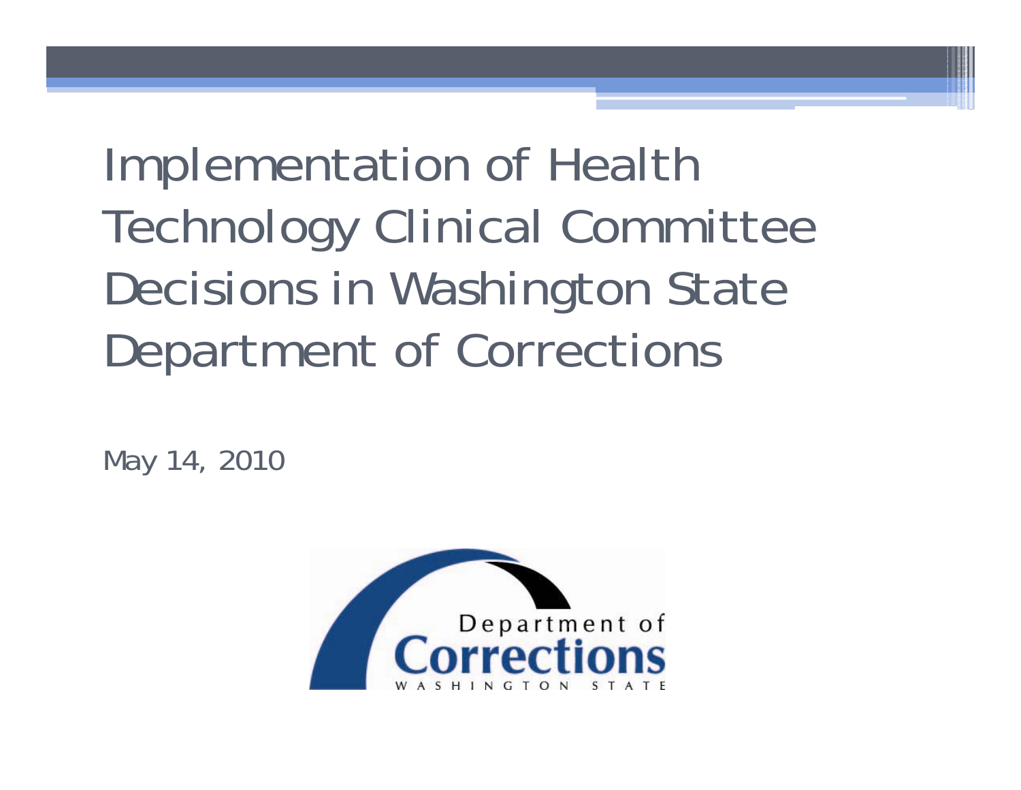Implementation of Health Technology Clinical Committee Decisions in Washington State Department of Corrections

May 14, 2010

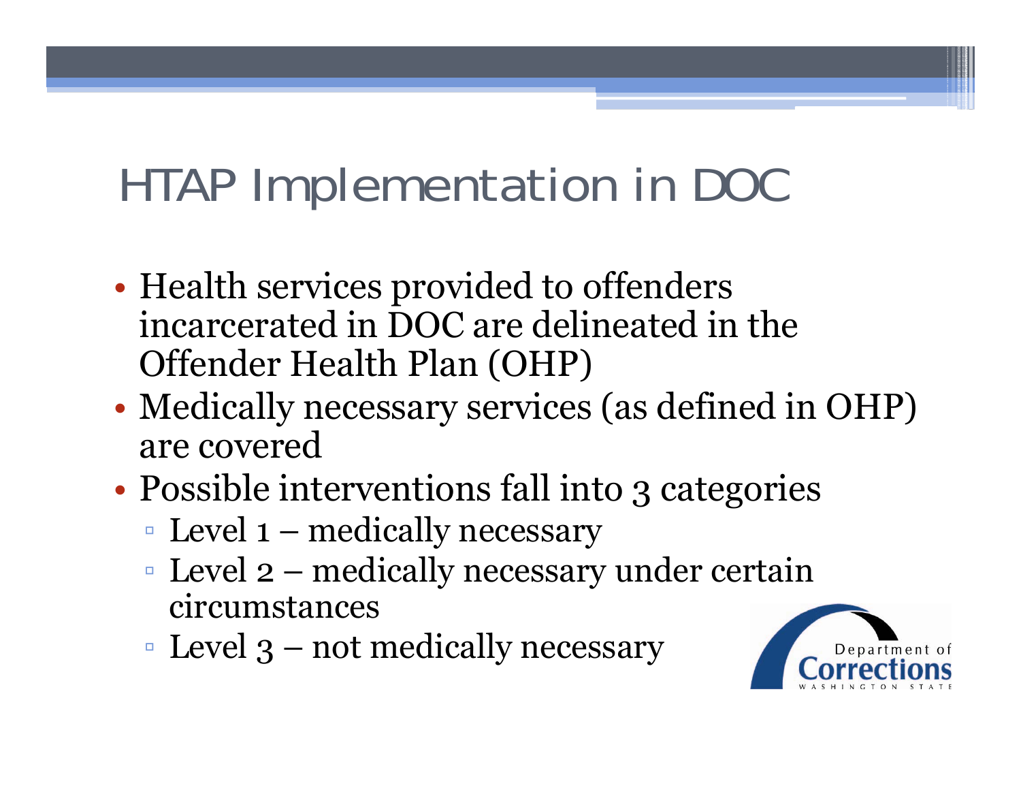- •• Health services provided to offenders incarcerated in DOC are delineated in the Offender Health Plan (OHP)
- • Medically necessary services (as defined in OHP) are covered
- •• Possible interventions fall into 3 categories
	- Level 1 medically necessary
	- $\blacksquare$  Level 2 medically necessary under certain circumstances
	- $\blacksquare$  Level 3 not medically necessary

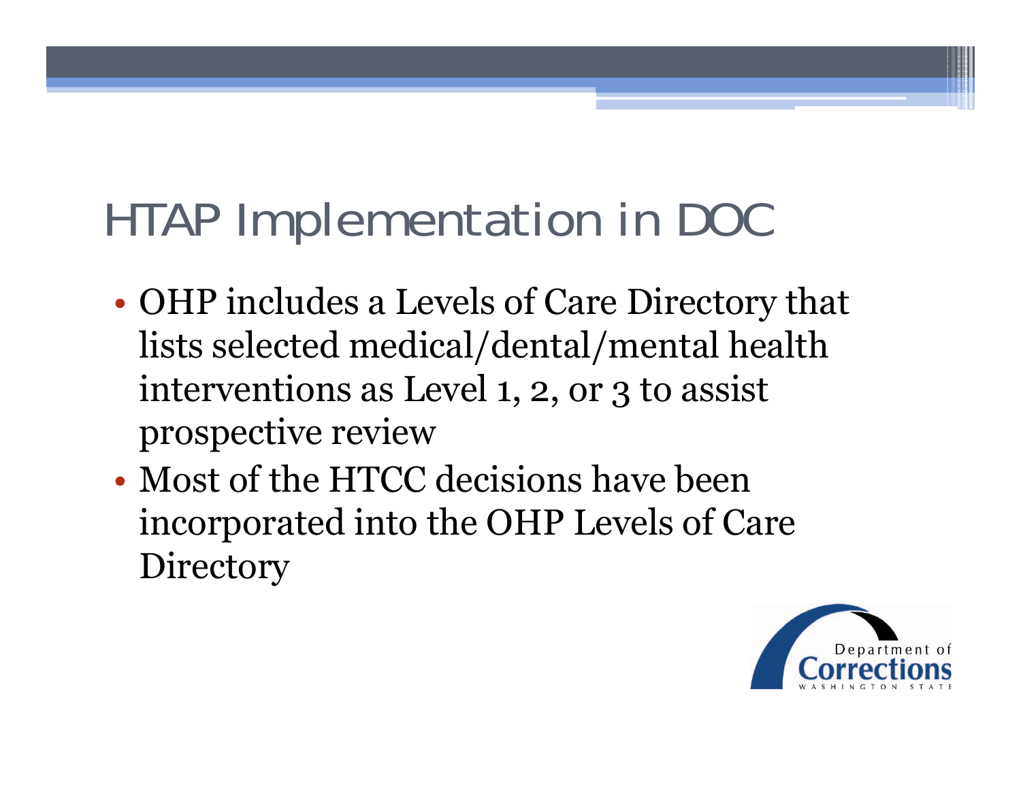- • OHP includes a Levels of Care Directory that lists selected medical/dental/mental health interventions as Level 1, 2, or 3 to assist prospective review
- Most of the HTCC decisions have been incorporated into the OHP Levels of Care **Directory**

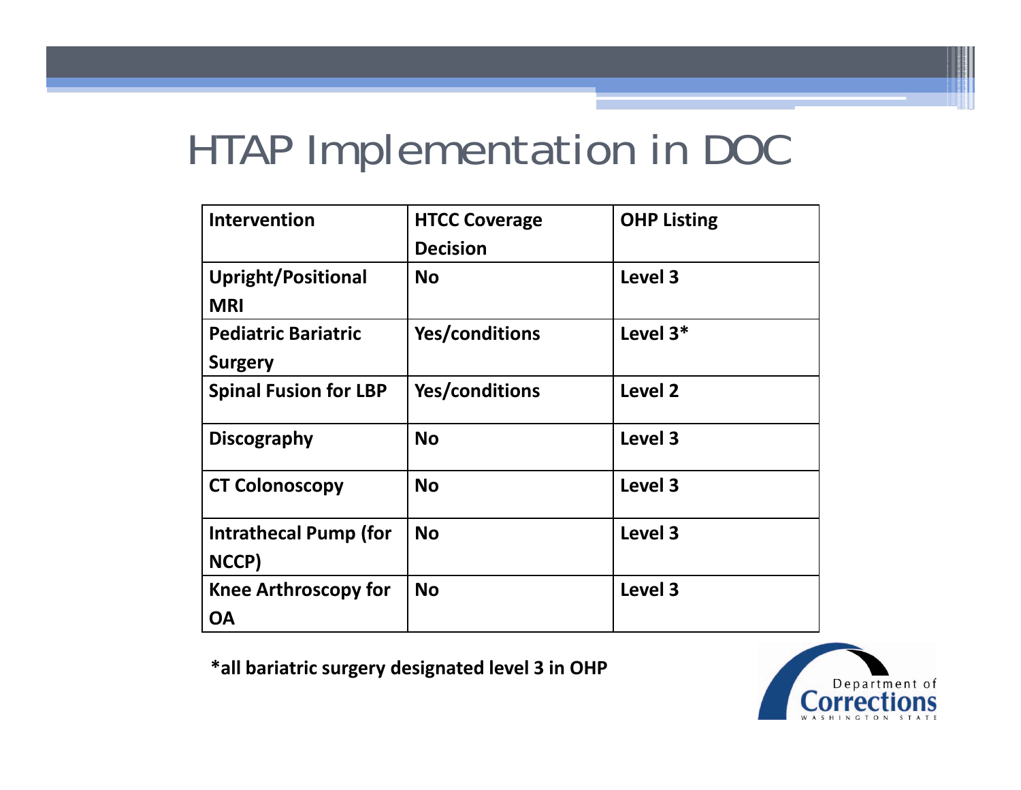| <b>Intervention</b>                          | <b>HTCC Coverage</b><br><b>Decision</b> | <b>OHP Listing</b> |
|----------------------------------------------|-----------------------------------------|--------------------|
| <b>Upright/Positional</b><br><b>MRI</b>      | <b>No</b>                               | Level 3            |
| <b>Pediatric Bariatric</b><br><b>Surgery</b> | Yes/conditions                          | Level 3*           |
| <b>Spinal Fusion for LBP</b>                 | Yes/conditions                          | <b>Level 2</b>     |
| <b>Discography</b>                           | <b>No</b>                               | Level 3            |
| <b>CT Colonoscopy</b>                        | <b>No</b>                               | Level 3            |
| Intrathecal Pump (for<br>NCCP)               | <b>No</b>                               | Level 3            |
| <b>Knee Arthroscopy for</b><br>ΟA            | <b>No</b>                               | Level 3            |

**\*all bariatric surgery designated level 3 in OHP**